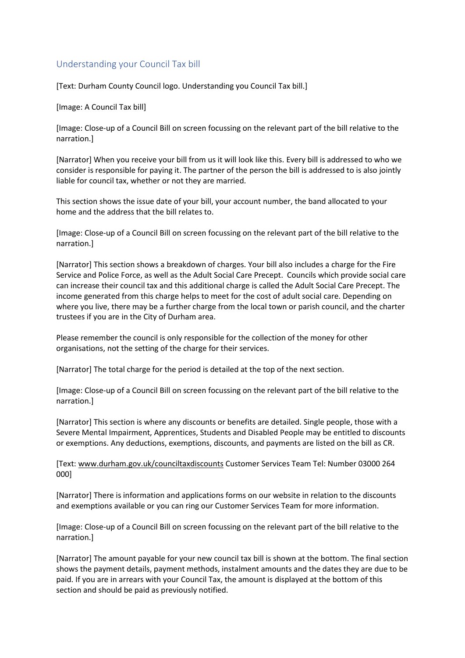## Understanding your Council Tax bill

[Text: Durham County Council logo. Understanding you Council Tax bill.]

[Image: A Council Tax bill]

[Image: Close-up of a Council Bill on screen focussing on the relevant part of the bill relative to the narration.]

[Narrator] When you receive your bill from us it will look like this. Every bill is addressed to who we consider is responsible for paying it. The partner of the person the bill is addressed to is also jointly liable for council tax, whether or not they are married.

This section shows the issue date of your bill, your account number, the band allocated to your home and the address that the bill relates to.

[Image: Close-up of a Council Bill on screen focussing on the relevant part of the bill relative to the narration.]

[Narrator] This section shows a breakdown of charges. Your bill also includes a charge for the Fire Service and Police Force, as well as the Adult Social Care Precept. Councils which provide social care can increase their council tax and this additional charge is called the Adult Social Care Precept. The income generated from this charge helps to meet for the cost of adult social care. Depending on where you live, there may be a further charge from the local town or parish council, and the charter trustees if you are in the City of Durham area.

Please remember the council is only responsible for the collection of the money for other organisations, not the setting of the charge for their services.

[Narrator] The total charge for the period is detailed at the top of the next section.

[Image: Close-up of a Council Bill on screen focussing on the relevant part of the bill relative to the narration.]

[Narrator] This section is where any discounts or benefits are detailed. Single people, those with a Severe Mental Impairment, Apprentices, Students and Disabled People may be entitled to discounts or exemptions. Any deductions, exemptions, discounts, and payments are listed on the bill as CR.

[Text: [www.durham.gov.uk/counciltaxdiscounts](http://www.durham.gov.uk/counciltaxdiscounts) Customer Services Team Tel: Number 03000 264 000]

[Narrator] There is information and applications forms on our website in relation to the discounts and exemptions available or you can ring our Customer Services Team for more information.

[Image: Close-up of a Council Bill on screen focussing on the relevant part of the bill relative to the narration.]

[Narrator] The amount payable for your new council tax bill is shown at the bottom. The final section shows the payment details, payment methods, instalment amounts and the dates they are due to be paid. If you are in arrears with your Council Tax, the amount is displayed at the bottom of this section and should be paid as previously notified.